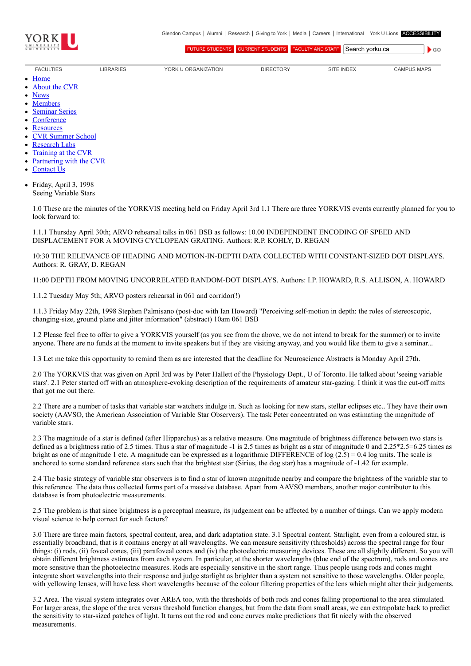

 $\bullet$  GO

[FUTURE STUDENTS](http://futurestudents.yorku.ca/) [CURRENT STUDENTS](http://www.yorku.ca/yorkweb/cs.htm) [FACULTY AND STAFF](http://www.yorku.ca/yorkweb/fs.htm) Search vorku.ca

- [FACULTIES](http://www.yorku.ca/yorkweb/faculties.htm) [LIBRARIES](http://www.library.yorku.ca/) [YORK U ORGANIZATION](http://www.yorku.ca/yorkweb/org.htm) [DIRECTORY](http://www.yorku.ca/yorkatlas) [SITE INDEX](http://www.yorku.ca/yorkweb/siteindex.htm) [CAMPUS MAPS](http://www.yorku.ca/yorkweb/maps/)
	- $\bullet$ **[Home](file:///C:/)**
	- [About the CVR](file:///C:/content/about-cvr)
	- [News](file:///C:/newslatest)
	- **[Members](file:///C:/category/faculty/york-faculty)**  $\bullet$
	- [Seminar Series](file:///C:/content/seminar-series)  $\bullet$
	- **[Conference](file:///C:/conferencearchive)**
	- **[Resources](file:///C:/content/resources)**  $\bullet$
	- [CVR Summer School](http://cvrss.info.yorku.ca/)
	- [Research Labs](file:///C:/content/research-labs)
	- [Training at the CVR](file:///C:/content/training-cvr-0)
	- [Partnering with the CVR](file:///C:/content/partnering-cvr-0)
	- [Contact Us](file:///C:/content/contact-cvr)
	- Friday, April 3, 1998  $\bullet$ Seeing Variable Stars

1.0 These are the minutes of the YORKVIS meeting held on Friday April 3rd 1.1 There are three YORKVIS events currently planned for you to look forward to:

1.1.1 Thursday April 30th; ARVO rehearsal talks in 061 BSB as follows: 10.00 INDEPENDENT ENCODING OF SPEED AND DISPLACEMENT FOR A MOVING CYCLOPEAN GRATING. Authors: R.P. KOHLY, D. REGAN

10:30 THE RELEVANCE OF HEADING AND MOTION-IN-DEPTH DATA COLLECTED WITH CONSTANT-SIZED DOT DISPLAYS. Authors: R. GRAY, D. REGAN

11:00 DEPTH FROM MOVING UNCORRELATED RANDOM-DOT DISPLAYS. Authors: I.P. HOWARD, R.S. ALLISON, A. HOWARD

1.1.2 Tuesday May 5th; ARVO posters rehearsal in 061 and corridor(!)

1.1.3 Friday May 22th, 1998 Stephen Palmisano (post-doc with Ian Howard) "Perceiving self-motion in depth: the roles of stereoscopic, changing-size, ground plane and jitter information" (abstract) 10am 061 BSB

1.2 Please feel free to offer to give a YORKVIS yourself (as you see from the above, we do not intend to break for the summer) or to invite anyone. There are no funds at the moment to invite speakers but if they are visiting anyway, and you would like them to give a seminar...

1.3 Let me take this opportunity to remind them as are interested that the deadline for Neuroscience Abstracts is Monday April 27th.

2.0 The YORKVIS that was given on April 3rd was by Peter Hallett of the Physiology Dept., U of Toronto. He talked about 'seeing variable stars'. 2.1 Peter started off with an atmosphere-evoking description of the requirements of amateur star-gazing. I think it was the cut-off mitts that got me out there.

2.2 There are a number of tasks that variable star watchers indulge in. Such as looking for new stars, stellar eclipses etc.. They have their own society (AAVSO, the American Association of Variable Star Observers). The task Peter concentrated on was estimating the magnitude of variable stars.

2.3 The magnitude of a star is defined (after Hipparchus) as a relative measure. One magnitude of brightness difference between two stars is defined as a brightness ratio of 2.5 times. Thus a star of magnitude -1 is 2.5 times as bright as a star of magnitude 0 and 2.25\*2.5=6.25 times as bright as one of magnitude 1 etc. A magnitude can be expressed as a logarithmic DIFFERENCE of log  $(2.5) = 0.4$  log units. The scale is anchored to some standard reference stars such that the brightest star (Sirius, the dog star) has a magnitude of -1.42 for example.

2.4 The basic strategy of variable star observers is to find a star of known magnitude nearby and compare the brightness of the variable star to this reference. The data thus collected forms part of a massive database. Apart from AAVSO members, another major contributor to this database is from photoelectric measurements.

2.5 The problem is that since brightness is a perceptual measure, its judgement can be affected by a number of things. Can we apply modern visual science to help correct for such factors?

3.0 There are three main factors, spectral content, area, and dark adaptation state. 3.1 Spectral content. Starlight, even from a coloured star, is essentially broadband, that is it contains energy at all wavelengths. We can measure sensitivity (thresholds) across the spectral range for four things: (i) rods, (ii) foveal cones, (iii) parafoveal cones and (iv) the photoelectric measuring devices. These are all slightly different. So you will obtain different brightness estimates from each system. In particular, at the shorter wavelengths (blue end of the spectrum), rods and cones are more sensitive than the photoelectric measures. Rods are especially sensitive in the short range. Thus people using rods and cones might integrate short wavelengths into their response and judge starlight as brighter than a system not sensitive to those wavelengths. Older people, with yellowing lenses, will have less short wavelengths because of the colour filtering properties of the lens which might alter their judgements.

3.2 Area. The visual system integrates over AREA too, with the thresholds of both rods and cones falling proportional to the area stimulated. For larger areas, the slope of the area versus threshold function changes, but from the data from small areas, we can extrapolate back to predict the sensitivity to star-sized patches of light. It turns out the rod and cone curves make predictions that fit nicely with the observed measurements.